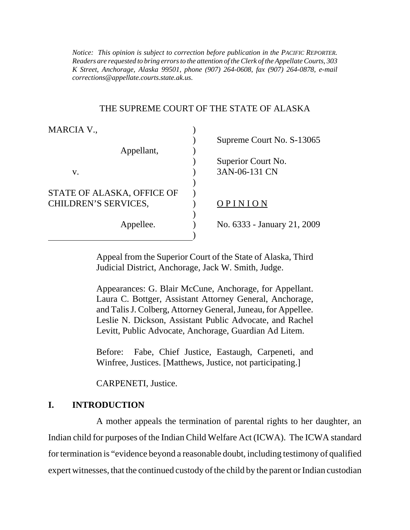*Notice: This opinion is subject to correction before publication in the PACIFIC REPORTER. Readers are requested to bring errors to the attention of the Clerk of the Appellate Courts, 303 K Street, Anchorage, Alaska 99501, phone (907) 264-0608, fax (907) 264-0878, e-mail corrections@appellate.courts.state.ak.us*.

#### THE SUPREME COURT OF THE STATE OF ALASKA

| MARCIA V.,                 |                             |
|----------------------------|-----------------------------|
|                            | Supreme Court No. S-13065   |
| Appellant,                 |                             |
|                            | Superior Court No.          |
| V.                         | 3AN-06-131 CN               |
|                            |                             |
| STATE OF ALASKA, OFFICE OF |                             |
| CHILDREN'S SERVICES,       | INION                       |
|                            |                             |
| Appellee.                  | No. 6333 - January 21, 2009 |
|                            |                             |

Appeal from the Superior Court of the State of Alaska, Third Judicial District, Anchorage, Jack W. Smith, Judge.

Appearances: G. Blair McCune, Anchorage, for Appellant. Laura C. Bottger, Assistant Attorney General, Anchorage, and Talis J. Colberg, Attorney General, Juneau, for Appellee. Leslie N. Dickson, Assistant Public Advocate, and Rachel Levitt, Public Advocate, Anchorage, Guardian Ad Litem.

Before: Fabe, Chief Justice, Eastaugh, Carpeneti, and Winfree, Justices. [Matthews, Justice, not participating.]

CARPENETI, Justice.

## **I. INTRODUCTION**

A mother appeals the termination of parental rights to her daughter, an Indian child for purposes of the Indian Child Welfare Act (ICWA). The ICWA standard for termination is "evidence beyond a reasonable doubt, including testimony of qualified expert witnesses, that the continued custody of the child by the parent or Indian custodian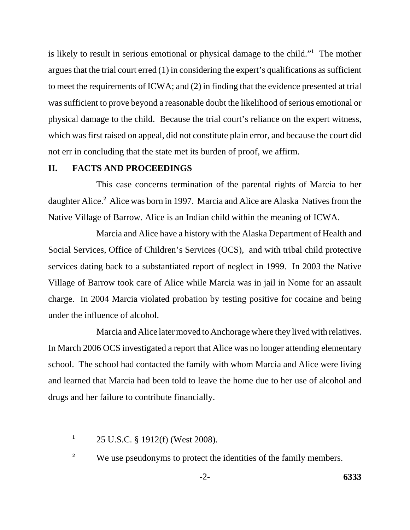is likely to result in serious emotional or physical damage to the child."**<sup>1</sup>** The mother argues that the trial court erred (1) in considering the expert's qualifications as sufficient to meet the requirements of ICWA; and (2) in finding that the evidence presented at trial was sufficient to prove beyond a reasonable doubt the likelihood of serious emotional or physical damage to the child. Because the trial court's reliance on the expert witness, which was first raised on appeal, did not constitute plain error, and because the court did not err in concluding that the state met its burden of proof, we affirm.

### **II. FACTS AND PROCEEDINGS**

This case concerns termination of the parental rights of Marcia to her daughter Alice.**<sup>2</sup>** Alice was born in 1997. Marcia and Alice are Alaska Natives from the Native Village of Barrow. Alice is an Indian child within the meaning of ICWA.

Marcia and Alice have a history with the Alaska Department of Health and Social Services, Office of Children's Services (OCS), and with tribal child protective services dating back to a substantiated report of neglect in 1999. In 2003 the Native Village of Barrow took care of Alice while Marcia was in jail in Nome for an assault charge. In 2004 Marcia violated probation by testing positive for cocaine and being under the influence of alcohol.

Marcia and Alice later moved to Anchorage where they lived with relatives. In March 2006 OCS investigated a report that Alice was no longer attending elementary school. The school had contacted the family with whom Marcia and Alice were living and learned that Marcia had been told to leave the home due to her use of alcohol and drugs and her failure to contribute financially.

**<sup>1</sup>** 25 U.S.C. § 1912(f) (West 2008).

<sup>&</sup>lt;sup>2</sup> We use pseudonyms to protect the identities of the family members.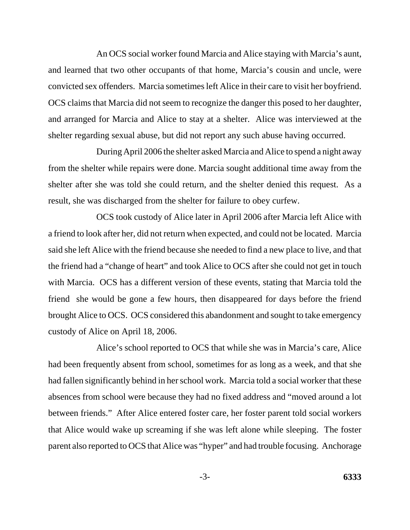An OCS social worker found Marcia and Alice staying with Marcia's aunt, and learned that two other occupants of that home, Marcia's cousin and uncle, were convicted sex offenders. Marcia sometimes left Alice in their care to visit her boyfriend. OCS claims that Marcia did not seem to recognize the danger this posed to her daughter, and arranged for Marcia and Alice to stay at a shelter. Alice was interviewed at the shelter regarding sexual abuse, but did not report any such abuse having occurred.

During April 2006 the shelter asked Marcia and Alice to spend a night away from the shelter while repairs were done. Marcia sought additional time away from the shelter after she was told she could return, and the shelter denied this request. As a result, she was discharged from the shelter for failure to obey curfew.

OCS took custody of Alice later in April 2006 after Marcia left Alice with a friend to look after her, did not return when expected, and could not be located. Marcia said she left Alice with the friend because she needed to find a new place to live, and that the friend had a "change of heart" and took Alice to OCS after she could not get in touch with Marcia. OCS has a different version of these events, stating that Marcia told the friend she would be gone a few hours, then disappeared for days before the friend brought Alice to OCS. OCS considered this abandonment and sought to take emergency custody of Alice on April 18, 2006.

Alice's school reported to OCS that while she was in Marcia's care, Alice had been frequently absent from school, sometimes for as long as a week, and that she had fallen significantly behind in her school work. Marcia told a social worker that these absences from school were because they had no fixed address and "moved around a lot between friends." After Alice entered foster care, her foster parent told social workers that Alice would wake up screaming if she was left alone while sleeping. The foster parent also reported to OCS that Alice was "hyper" and had trouble focusing. Anchorage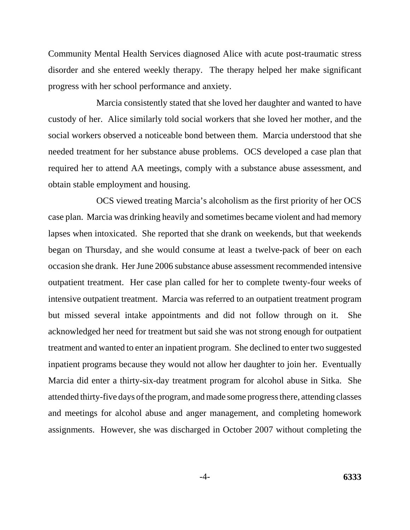Community Mental Health Services diagnosed Alice with acute post-traumatic stress disorder and she entered weekly therapy. The therapy helped her make significant progress with her school performance and anxiety.

Marcia consistently stated that she loved her daughter and wanted to have custody of her. Alice similarly told social workers that she loved her mother, and the social workers observed a noticeable bond between them. Marcia understood that she needed treatment for her substance abuse problems. OCS developed a case plan that required her to attend AA meetings, comply with a substance abuse assessment, and obtain stable employment and housing.

OCS viewed treating Marcia's alcoholism as the first priority of her OCS case plan. Marcia was drinking heavily and sometimes became violent and had memory lapses when intoxicated. She reported that she drank on weekends, but that weekends began on Thursday, and she would consume at least a twelve-pack of beer on each occasion she drank. Her June 2006 substance abuse assessment recommended intensive outpatient treatment. Her case plan called for her to complete twenty-four weeks of intensive outpatient treatment. Marcia was referred to an outpatient treatment program but missed several intake appointments and did not follow through on it. She acknowledged her need for treatment but said she was not strong enough for outpatient treatment and wanted to enter an inpatient program. She declined to enter two suggested inpatient programs because they would not allow her daughter to join her. Eventually Marcia did enter a thirty-six-day treatment program for alcohol abuse in Sitka. She attended thirty-five days of the program, and made some progress there, attending classes and meetings for alcohol abuse and anger management, and completing homework assignments. However, she was discharged in October 2007 without completing the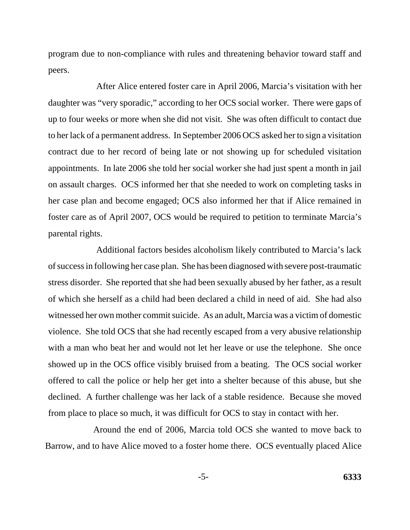program due to non-compliance with rules and threatening behavior toward staff and peers.

After Alice entered foster care in April 2006, Marcia's visitation with her daughter was "very sporadic," according to her OCS social worker. There were gaps of up to four weeks or more when she did not visit. She was often difficult to contact due to her lack of a permanent address. In September 2006 OCS asked her to sign a visitation contract due to her record of being late or not showing up for scheduled visitation appointments. In late 2006 she told her social worker she had just spent a month in jail on assault charges. OCS informed her that she needed to work on completing tasks in her case plan and become engaged; OCS also informed her that if Alice remained in foster care as of April 2007, OCS would be required to petition to terminate Marcia's parental rights.

Additional factors besides alcoholism likely contributed to Marcia's lack of success in following her case plan. She has been diagnosed with severe post-traumatic stress disorder. She reported that she had been sexually abused by her father, as a result of which she herself as a child had been declared a child in need of aid. She had also witnessed her own mother commit suicide. As an adult, Marcia was a victim of domestic violence. She told OCS that she had recently escaped from a very abusive relationship with a man who beat her and would not let her leave or use the telephone. She once showed up in the OCS office visibly bruised from a beating. The OCS social worker offered to call the police or help her get into a shelter because of this abuse, but she declined. A further challenge was her lack of a stable residence. Because she moved from place to place so much, it was difficult for OCS to stay in contact with her.

Around the end of 2006, Marcia told OCS she wanted to move back to Barrow, and to have Alice moved to a foster home there. OCS eventually placed Alice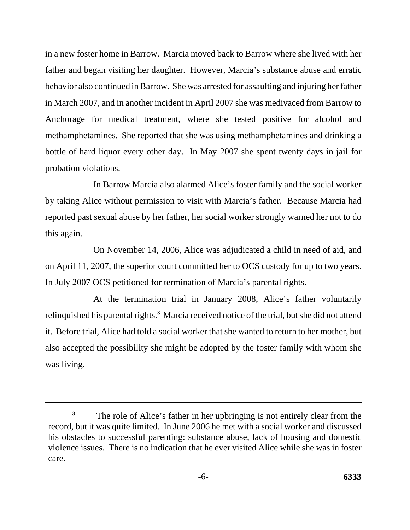in a new foster home in Barrow. Marcia moved back to Barrow where she lived with her father and began visiting her daughter. However, Marcia's substance abuse and erratic behavior also continued in Barrow. She was arrested for assaulting and injuring her father in March 2007, and in another incident in April 2007 she was medivaced from Barrow to Anchorage for medical treatment, where she tested positive for alcohol and methamphetamines. She reported that she was using methamphetamines and drinking a bottle of hard liquor every other day. In May 2007 she spent twenty days in jail for probation violations.

In Barrow Marcia also alarmed Alice's foster family and the social worker by taking Alice without permission to visit with Marcia's father. Because Marcia had reported past sexual abuse by her father, her social worker strongly warned her not to do this again.

On November 14, 2006, Alice was adjudicated a child in need of aid, and on April 11, 2007, the superior court committed her to OCS custody for up to two years. In July 2007 OCS petitioned for termination of Marcia's parental rights.

At the termination trial in January 2008, Alice's father voluntarily relinquished his parental rights.**<sup>3</sup>** Marcia received notice of the trial, but she did not attend it. Before trial, Alice had told a social worker that she wanted to return to her mother, but also accepted the possibility she might be adopted by the foster family with whom she was living.

<sup>&</sup>lt;sup>3</sup> The role of Alice's father in her upbringing is not entirely clear from the record, but it was quite limited. In June 2006 he met with a social worker and discussed his obstacles to successful parenting: substance abuse, lack of housing and domestic violence issues. There is no indication that he ever visited Alice while she was in foster care.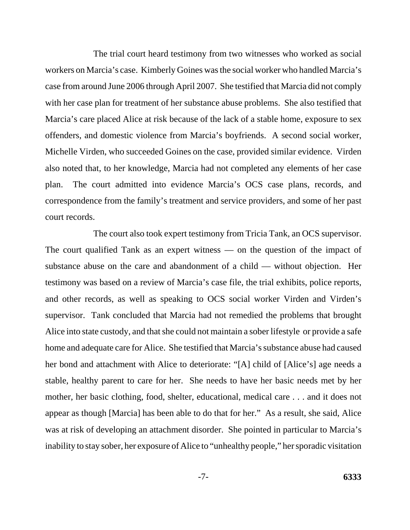The trial court heard testimony from two witnesses who worked as social workers on Marcia's case. Kimberly Goines was the social worker who handled Marcia's case from around June 2006 through April 2007. She testified that Marcia did not comply with her case plan for treatment of her substance abuse problems. She also testified that Marcia's care placed Alice at risk because of the lack of a stable home, exposure to sex offenders, and domestic violence from Marcia's boyfriends. A second social worker, Michelle Virden, who succeeded Goines on the case, provided similar evidence. Virden also noted that, to her knowledge, Marcia had not completed any elements of her case plan. The court admitted into evidence Marcia's OCS case plans, records, and correspondence from the family's treatment and service providers, and some of her past court records.

The court also took expert testimony from Tricia Tank, an OCS supervisor. The court qualified Tank as an expert witness — on the question of the impact of substance abuse on the care and abandonment of a child — without objection. Her testimony was based on a review of Marcia's case file, the trial exhibits, police reports, and other records, as well as speaking to OCS social worker Virden and Virden's supervisor. Tank concluded that Marcia had not remedied the problems that brought Alice into state custody, and that she could not maintain a sober lifestyle or provide a safe home and adequate care for Alice. She testified that Marcia's substance abuse had caused her bond and attachment with Alice to deteriorate: "[A] child of [Alice's] age needs a stable, healthy parent to care for her. She needs to have her basic needs met by her mother, her basic clothing, food, shelter, educational, medical care . . . and it does not appear as though [Marcia] has been able to do that for her." As a result, she said, Alice was at risk of developing an attachment disorder. She pointed in particular to Marcia's inability to stay sober, her exposure of Alice to "unhealthy people," her sporadic visitation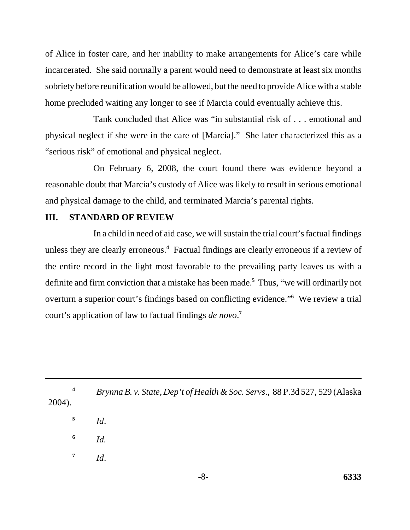of Alice in foster care, and her inability to make arrangements for Alice's care while incarcerated. She said normally a parent would need to demonstrate at least six months sobriety before reunification would be allowed, but the need to provide Alice with a stable home precluded waiting any longer to see if Marcia could eventually achieve this.

Tank concluded that Alice was "in substantial risk of . . . emotional and physical neglect if she were in the care of [Marcia]." She later characterized this as a "serious risk" of emotional and physical neglect.

On February 6, 2008, the court found there was evidence beyond a reasonable doubt that Marcia's custody of Alice was likely to result in serious emotional and physical damage to the child, and terminated Marcia's parental rights.

### **III. STANDARD OF REVIEW**

In a child in need of aid case, we will sustain the trial court's factual findings unless they are clearly erroneous.**<sup>4</sup>** Factual findings are clearly erroneous if a review of the entire record in the light most favorable to the prevailing party leaves us with a definite and firm conviction that a mistake has been made.**<sup>5</sup>** Thus, "we will ordinarily not overturn a superior court's findings based on conflicting evidence."**<sup>6</sup>** We review a trial court's application of law to factual findings *de novo*. **7**

**<sup>4</sup>** *Brynna B. v. State, Dep't of Health & Soc. Servs*., 88 P.3d 527, 529 (Alaska 2004).

**<sup>5</sup>** *Id*.

**<sup>6</sup>** *Id.*

 $^7$  *Id.*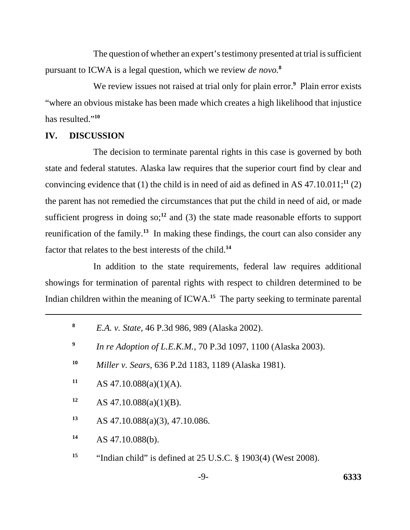The question of whether an expert's testimony presented at trial is sufficient pursuant to ICWA is a legal question, which we review *de novo.***<sup>8</sup>**

We review issues not raised at trial only for plain error.<sup>9</sup> Plain error exists "where an obvious mistake has been made which creates a high likelihood that injustice has resulted."**<sup>10</sup>**

#### **IV. DISCUSSION**

The decision to terminate parental rights in this case is governed by both state and federal statutes. Alaska law requires that the superior court find by clear and convincing evidence that (1) the child is in need of aid as defined in AS  $47.10.011$ ;<sup>11</sup> (2) the parent has not remedied the circumstances that put the child in need of aid, or made sufficient progress in doing so;<sup>12</sup> and (3) the state made reasonable efforts to support reunification of the family.**<sup>13</sup>** In making these findings, the court can also consider any factor that relates to the best interests of the child.**<sup>14</sup>**

In addition to the state requirements, federal law requires additional showings for termination of parental rights with respect to children determined to be Indian children within the meaning of ICWA.**15** The party seeking to terminate parental

- **<sup>8</sup>** *E.A. v. State*, 46 P.3d 986, 989 (Alaska 2002).
- **<sup>9</sup>** *In re Adoption of L.E.K.M.*, 70 P.3d 1097, 1100 (Alaska 2003).
- **<sup>10</sup>** *Miller v. Sears*, 636 P.2d 1183, 1189 (Alaska 1981).
- 11 AS  $47.10.088(a)(1)(A)$ .
- **<sup>12</sup>** AS 47.10.088(a)(1)(B).
- **<sup>13</sup>** AS 47.10.088(a)(3), 47.10.086.
- **<sup>14</sup>** AS 47.10.088(b).
- <sup>15</sup> "Indian child" is defined at 25 U.S.C. § 1903(4) (West 2008).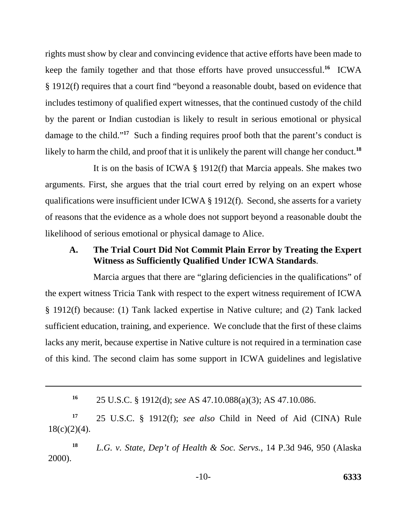rights must show by clear and convincing evidence that active efforts have been made to keep the family together and that those efforts have proved unsuccessful.**<sup>16</sup>** ICWA § 1912(f) requires that a court find "beyond a reasonable doubt, based on evidence that includes testimony of qualified expert witnesses, that the continued custody of the child by the parent or Indian custodian is likely to result in serious emotional or physical damage to the child."<sup>17</sup> Such a finding requires proof both that the parent's conduct is likely to harm the child, and proof that it is unlikely the parent will change her conduct.**<sup>18</sup>**

It is on the basis of ICWA § 1912(f) that Marcia appeals. She makes two arguments. First, she argues that the trial court erred by relying on an expert whose qualifications were insufficient under ICWA § 1912(f). Second, she asserts for a variety of reasons that the evidence as a whole does not support beyond a reasonable doubt the likelihood of serious emotional or physical damage to Alice.

## **A. The Trial Court Did Not Commit Plain Error by Treating the Expert Witness as Sufficiently Qualified Under ICWA Standards**.

Marcia argues that there are "glaring deficiencies in the qualifications" of the expert witness Tricia Tank with respect to the expert witness requirement of ICWA § 1912(f) because: (1) Tank lacked expertise in Native culture; and (2) Tank lacked sufficient education, training, and experience. We conclude that the first of these claims lacks any merit, because expertise in Native culture is not required in a termination case of this kind. The second claim has some support in ICWA guidelines and legislative

**<sup>17</sup>** 25 U.S.C. § 1912(f); *see also* Child in Need of Aid (CINA) Rule  $18(c)(2)(4)$ .

**<sup>18</sup>** *L.G. v. State, Dep't of Health & Soc. Servs.*, 14 P.3d 946, 950 (Alaska 2000).

**<sup>16</sup>** 25 U.S.C. § 1912(d); *see* AS 47.10.088(a)(3); AS 47.10.086.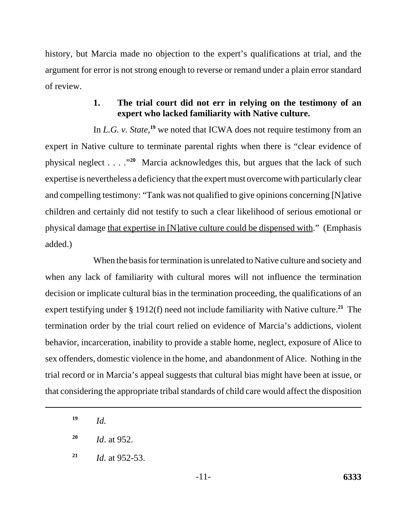history, but Marcia made no objection to the expert's qualifications at trial, and the argument for error is not strong enough to reverse or remand under a plain error standard of review.

## **1. The trial court did not err in relying on the testimony of an expert who lacked familiarity with Native culture.**

In *L.G. v. State*,<sup>19</sup> we noted that ICWA does not require testimony from an expert in Native culture to terminate parental rights when there is "clear evidence of physical neglect . . . ."**<sup>20</sup>** Marcia acknowledges this, but argues that the lack of such expertise is nevertheless a deficiency that the expert must overcome with particularly clear and compelling testimony: "Tank was not qualified to give opinions concerning [N]ative children and certainly did not testify to such a clear likelihood of serious emotional or physical damage that expertise in [N]ative culture could be dispensed with." (Emphasis added.)

When the basis for termination is unrelated to Native culture and society and when any lack of familiarity with cultural mores will not influence the termination decision or implicate cultural bias in the termination proceeding, the qualifications of an expert testifying under § 1912(f) need not include familiarity with Native culture.**<sup>21</sup>** The termination order by the trial court relied on evidence of Marcia's addictions, violent behavior, incarceration, inability to provide a stable home, neglect, exposure of Alice to sex offenders, domestic violence in the home, and abandonment of Alice. Nothing in the trial record or in Marcia's appeal suggests that cultural bias might have been at issue, or that considering the appropriate tribal standards of child care would affect the disposition

**<sup>19</sup>** *Id.*

**<sup>20</sup>** *Id*. at 952.

**<sup>21</sup>** *Id.* at 952-53.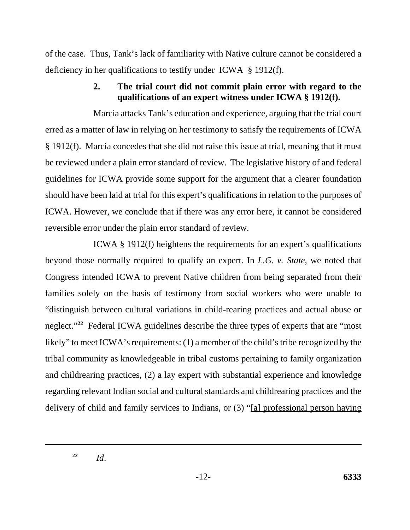of the case. Thus, Tank's lack of familiarity with Native culture cannot be considered a deficiency in her qualifications to testify under ICWA § 1912(f).

# **2. The trial court did not commit plain error with regard to the qualifications of an expert witness under ICWA § 1912(f).**

Marcia attacks Tank's education and experience, arguing that the trial court erred as a matter of law in relying on her testimony to satisfy the requirements of ICWA § 1912(f). Marcia concedes that she did not raise this issue at trial, meaning that it must be reviewed under a plain error standard of review. The legislative history of and federal guidelines for ICWA provide some support for the argument that a clearer foundation should have been laid at trial for this expert's qualifications in relation to the purposes of ICWA. However, we conclude that if there was any error here, it cannot be considered reversible error under the plain error standard of review.

ICWA § 1912(f) heightens the requirements for an expert's qualifications beyond those normally required to qualify an expert. In *L.G. v. State*, we noted that Congress intended ICWA to prevent Native children from being separated from their families solely on the basis of testimony from social workers who were unable to "distinguish between cultural variations in child-rearing practices and actual abuse or neglect."**<sup>22</sup>** Federal ICWA guidelines describe the three types of experts that are "most likely" to meet ICWA's requirements: (1) a member of the child's tribe recognized by the tribal community as knowledgeable in tribal customs pertaining to family organization and childrearing practices, (2) a lay expert with substantial experience and knowledge regarding relevant Indian social and cultural standards and childrearing practices and the delivery of child and family services to Indians, or (3) "[a] professional person having

**<sup>22</sup>** *Id*.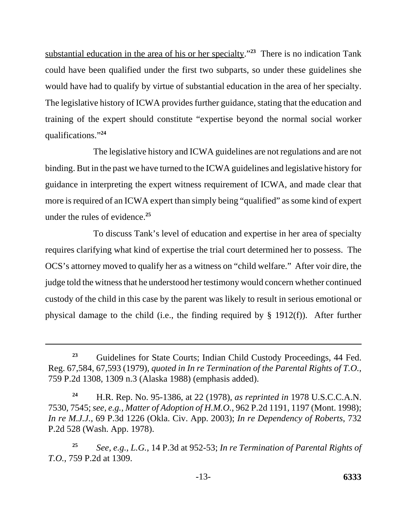substantial education in the area of his or her specialty."**<sup>23</sup>** There is no indication Tank could have been qualified under the first two subparts, so under these guidelines she would have had to qualify by virtue of substantial education in the area of her specialty. The legislative history of ICWA provides further guidance, stating that the education and training of the expert should constitute "expertise beyond the normal social worker qualifications."**<sup>24</sup>**

The legislative history and ICWA guidelines are not regulations and are not binding. But in the past we have turned to the ICWA guidelines and legislative history for guidance in interpreting the expert witness requirement of ICWA, and made clear that more is required of an ICWA expert than simply being "qualified" as some kind of expert under the rules of evidence.**<sup>25</sup>**

To discuss Tank's level of education and expertise in her area of specialty requires clarifying what kind of expertise the trial court determined her to possess. The OCS's attorney moved to qualify her as a witness on "child welfare." After voir dire, the judge told the witness that he understood her testimony would concern whether continued custody of the child in this case by the parent was likely to result in serious emotional or physical damage to the child (i.e., the finding required by § 1912(f)). After further

**<sup>23</sup>** Guidelines for State Courts; Indian Child Custody Proceedings, 44 Fed. Reg. 67,584, 67,593 (1979), *quoted in In re Termination of the Parental Rights of T.O.*, 759 P.2d 1308, 1309 n.3 (Alaska 1988) (emphasis added).

**<sup>24</sup>** H.R. Rep. No. 95-1386, at 22 (1978), *as reprinted in* 1978 U.S.C.C.A.N. 7530, 7545; *see, e.g.*, *Matter of Adoption of H.M.O.*, 962 P.2d 1191, 1197 (Mont. 1998); *In re M.J.J.*, 69 P.3d 1226 (Okla. Civ. App. 2003); *In re Dependency of Roberts*, 732 P.2d 528 (Wash. App. 1978).

**<sup>25</sup>** *See, e.g.*, *L.G.*, 14 P.3d at 952-53; *In re Termination of Parental Rights of T.O.*, 759 P.2d at 1309.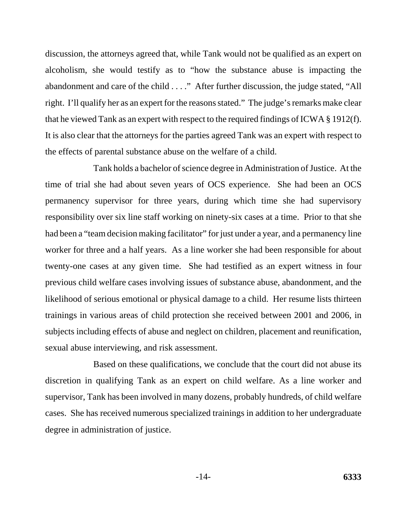discussion, the attorneys agreed that, while Tank would not be qualified as an expert on alcoholism, she would testify as to "how the substance abuse is impacting the abandonment and care of the child . . . ." After further discussion, the judge stated, "All right. I'll qualify her as an expert for the reasons stated." The judge's remarks make clear that he viewed Tank as an expert with respect to the required findings of ICWA § 1912(f). It is also clear that the attorneys for the parties agreed Tank was an expert with respect to the effects of parental substance abuse on the welfare of a child.

Tank holds a bachelor of science degree in Administration of Justice. At the time of trial she had about seven years of OCS experience. She had been an OCS permanency supervisor for three years, during which time she had supervisory responsibility over six line staff working on ninety-six cases at a time. Prior to that she had been a "team decision making facilitator" for just under a year, and a permanency line worker for three and a half years. As a line worker she had been responsible for about twenty-one cases at any given time. She had testified as an expert witness in four previous child welfare cases involving issues of substance abuse, abandonment, and the likelihood of serious emotional or physical damage to a child. Her resume lists thirteen trainings in various areas of child protection she received between 2001 and 2006, in subjects including effects of abuse and neglect on children, placement and reunification, sexual abuse interviewing, and risk assessment.

Based on these qualifications, we conclude that the court did not abuse its discretion in qualifying Tank as an expert on child welfare. As a line worker and supervisor, Tank has been involved in many dozens, probably hundreds, of child welfare cases. She has received numerous specialized trainings in addition to her undergraduate degree in administration of justice.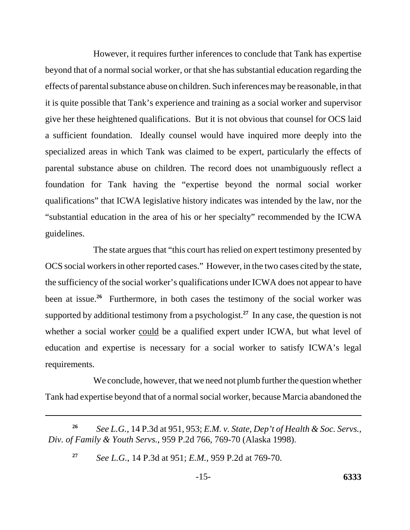However, it requires further inferences to conclude that Tank has expertise beyond that of a normal social worker, or that she has substantial education regarding the effects of parental substance abuse on children. Such inferences may be reasonable, in that it is quite possible that Tank's experience and training as a social worker and supervisor give her these heightened qualifications. But it is not obvious that counsel for OCS laid a sufficient foundation. Ideally counsel would have inquired more deeply into the specialized areas in which Tank was claimed to be expert, particularly the effects of parental substance abuse on children. The record does not unambiguously reflect a foundation for Tank having the "expertise beyond the normal social worker qualifications" that ICWA legislative history indicates was intended by the law, nor the "substantial education in the area of his or her specialty" recommended by the ICWA guidelines.

The state argues that "this court has relied on expert testimony presented by OCS social workers in other reported cases." However, in the two cases cited by the state, the sufficiency of the social worker's qualifications under ICWA does not appear to have been at issue.**<sup>26</sup>** Furthermore, in both cases the testimony of the social worker was supported by additional testimony from a psychologist.**<sup>27</sup>** In any case, the question is not whether a social worker could be a qualified expert under ICWA, but what level of education and expertise is necessary for a social worker to satisfy ICWA's legal requirements.

We conclude, however, that we need not plumb further the question whether Tank had expertise beyond that of a normal social worker, because Marcia abandoned the

**<sup>26</sup>** *See L.G.*, 14 P.3d at 951, 953; *E.M. v. State, Dep't of Health & Soc. Servs., Div. of Family & Youth Servs.*, 959 P.2d 766, 769-70 (Alaska 1998).

**<sup>27</sup>** *See L.G.*, 14 P.3d at 951; *E.M.*, 959 P.2d at 769-70.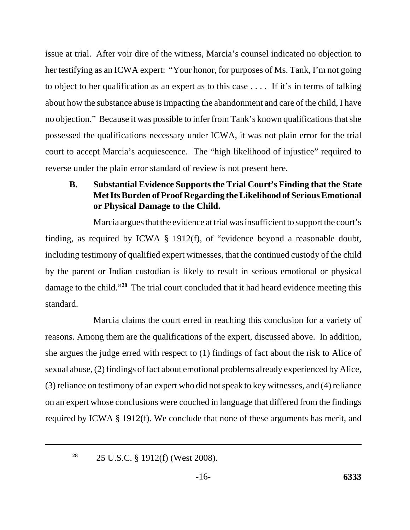issue at trial. After voir dire of the witness, Marcia's counsel indicated no objection to her testifying as an ICWA expert: "Your honor, for purposes of Ms. Tank, I'm not going to object to her qualification as an expert as to this case . . . . If it's in terms of talking about how the substance abuse is impacting the abandonment and care of the child, I have no objection." Because it was possible to infer from Tank's known qualifications that she possessed the qualifications necessary under ICWA, it was not plain error for the trial court to accept Marcia's acquiescence. The "high likelihood of injustice" required to reverse under the plain error standard of review is not present here.

**B. Substantial Evidence Supportsthe Trial Court's Finding that the State MetItsBurden of Proof Regarding the Likelihood of Serious Emotional or Physical Damage to the Child.**

Marcia argues that the evidence at trial was insufficient to support the court's finding, as required by ICWA § 1912(f), of "evidence beyond a reasonable doubt, including testimony of qualified expert witnesses, that the continued custody of the child by the parent or Indian custodian is likely to result in serious emotional or physical damage to the child."**<sup>28</sup>** The trial court concluded that it had heard evidence meeting this standard.

Marcia claims the court erred in reaching this conclusion for a variety of reasons. Among them are the qualifications of the expert, discussed above. In addition, she argues the judge erred with respect to (1) findings of fact about the risk to Alice of sexual abuse, (2) findings of fact about emotional problems already experienced by Alice, (3) reliance on testimony of an expert who did not speak to key witnesses, and (4) reliance on an expert whose conclusions were couched in language that differed from the findings required by ICWA § 1912(f). We conclude that none of these arguments has merit, and

**<sup>28</sup>** 25 U.S.C. § 1912(f) (West 2008).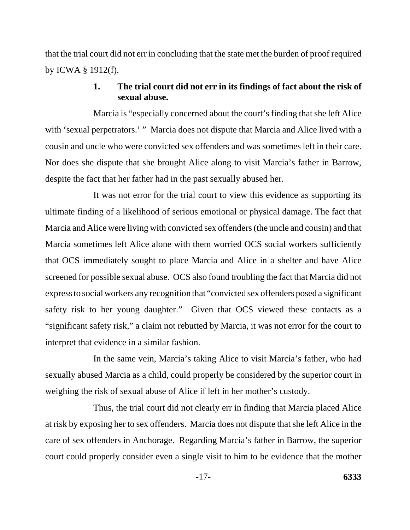that the trial court did not err in concluding that the state met the burden of proof required by ICWA § 1912(f).

# **1. The trial court did not err in its findings of fact about the risk of sexual abuse.**

Marcia is "especially concerned about the court's finding that she left Alice with 'sexual perpetrators.' " Marcia does not dispute that Marcia and Alice lived with a cousin and uncle who were convicted sex offenders and was sometimes left in their care. Nor does she dispute that she brought Alice along to visit Marcia's father in Barrow, despite the fact that her father had in the past sexually abused her.

It was not error for the trial court to view this evidence as supporting its ultimate finding of a likelihood of serious emotional or physical damage. The fact that Marcia and Alice were living with convicted sex offenders (the uncle and cousin) and that Marcia sometimes left Alice alone with them worried OCS social workers sufficiently that OCS immediately sought to place Marcia and Alice in a shelter and have Alice screened for possible sexual abuse. OCS also found troubling the fact that Marcia did not express to social workers any recognition that "convicted sex offenders posed a significant safety risk to her young daughter." Given that OCS viewed these contacts as a "significant safety risk," a claim not rebutted by Marcia, it was not error for the court to interpret that evidence in a similar fashion.

In the same vein, Marcia's taking Alice to visit Marcia's father, who had sexually abused Marcia as a child, could properly be considered by the superior court in weighing the risk of sexual abuse of Alice if left in her mother's custody.

Thus, the trial court did not clearly err in finding that Marcia placed Alice at risk by exposing her to sex offenders. Marcia does not dispute that she left Alice in the care of sex offenders in Anchorage. Regarding Marcia's father in Barrow, the superior court could properly consider even a single visit to him to be evidence that the mother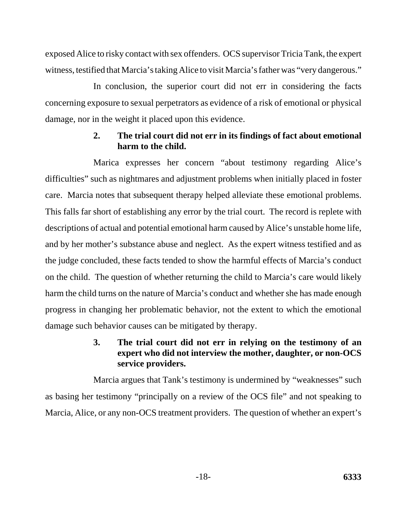exposed Alice to risky contact with sex offenders. OCS supervisor Tricia Tank, the expert witness, testified that Marcia's taking Alice to visit Marcia's father was "very dangerous."

In conclusion, the superior court did not err in considering the facts concerning exposure to sexual perpetrators as evidence of a risk of emotional or physical damage, nor in the weight it placed upon this evidence.

# **2. The trial court did not err in its findings of fact about emotional harm to the child.**

Marica expresses her concern "about testimony regarding Alice's difficulties" such as nightmares and adjustment problems when initially placed in foster care. Marcia notes that subsequent therapy helped alleviate these emotional problems. This falls far short of establishing any error by the trial court. The record is replete with descriptions of actual and potential emotional harm caused by Alice's unstable home life, and by her mother's substance abuse and neglect. As the expert witness testified and as the judge concluded, these facts tended to show the harmful effects of Marcia's conduct on the child. The question of whether returning the child to Marcia's care would likely harm the child turns on the nature of Marcia's conduct and whether she has made enough progress in changing her problematic behavior, not the extent to which the emotional damage such behavior causes can be mitigated by therapy.

# **3. The trial court did not err in relying on the testimony of an expert who did not interview the mother, daughter, or non-OCS service providers.**

Marcia argues that Tank's testimony is undermined by "weaknesses" such as basing her testimony "principally on a review of the OCS file" and not speaking to Marcia, Alice, or any non-OCS treatment providers. The question of whether an expert's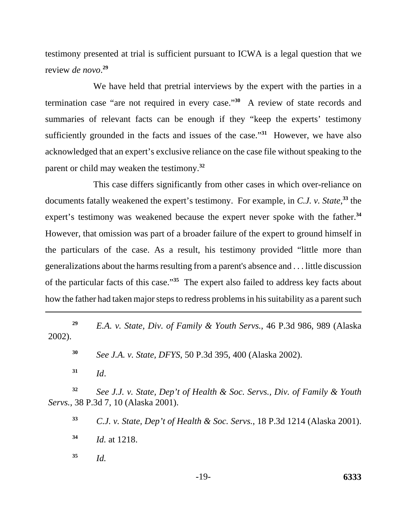testimony presented at trial is sufficient pursuant to ICWA is a legal question that we review *de novo*. **29**

We have held that pretrial interviews by the expert with the parties in a termination case "are not required in every case."**<sup>30</sup>** A review of state records and summaries of relevant facts can be enough if they "keep the experts' testimony sufficiently grounded in the facts and issues of the case."**<sup>31</sup>** However, we have also acknowledged that an expert's exclusive reliance on the case file without speaking to the parent or child may weaken the testimony.**<sup>32</sup>**

This case differs significantly from other cases in which over-reliance on documents fatally weakened the expert's testimony. For example, in *C.J. v. State*, **<sup>33</sup>** the expert's testimony was weakened because the expert never spoke with the father.**<sup>34</sup>** However, that omission was part of a broader failure of the expert to ground himself in the particulars of the case. As a result, his testimony provided "little more than generalizations about the harms resulting from a parent's absence and . . . little discussion of the particular facts of this case."**<sup>35</sup>** The expert also failed to address key facts about how the father had taken major steps to redress problems in his suitability as a parent such

**<sup>29</sup>** *E.A. v. State, Div. of Family & Youth Servs.*, 46 P.3d 986, 989 (Alaska 2002).

**<sup>30</sup>** *See J.A. v. State, DFYS*, 50 P.3d 395, 400 (Alaska 2002).

**<sup>31</sup>** *Id*.

**<sup>32</sup>** *See J.J. v. State, Dep't of Health & Soc. Servs., Div. of Family & Youth Servs.*, 38 P.3d 7, 10 (Alaska 2001).

**<sup>33</sup>** *C.J. v. State, Dep't of Health & Soc. Servs.*, 18 P.3d 1214 (Alaska 2001).

**<sup>34</sup>** *Id.* at 1218.

**<sup>35</sup>** *Id.*

-19- **6333**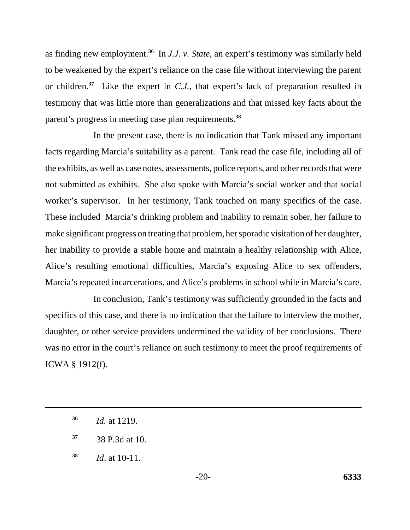as finding new employment.**<sup>36</sup>** In *J.J. v. State*, an expert's testimony was similarly held to be weakened by the expert's reliance on the case file without interviewing the parent or children.**<sup>37</sup>** Like the expert in *C.J.*, that expert's lack of preparation resulted in testimony that was little more than generalizations and that missed key facts about the parent's progress in meeting case plan requirements.**<sup>38</sup>**

In the present case, there is no indication that Tank missed any important facts regarding Marcia's suitability as a parent. Tank read the case file, including all of the exhibits, as well as case notes, assessments, police reports, and other records that were not submitted as exhibits. She also spoke with Marcia's social worker and that social worker's supervisor. In her testimony, Tank touched on many specifics of the case. These included Marcia's drinking problem and inability to remain sober, her failure to make significant progress on treating that problem, her sporadic visitation of her daughter, her inability to provide a stable home and maintain a healthy relationship with Alice, Alice's resulting emotional difficulties, Marcia's exposing Alice to sex offenders, Marcia's repeated incarcerations, and Alice's problems in school while in Marcia's care.

In conclusion, Tank's testimony was sufficiently grounded in the facts and specifics of this case, and there is no indication that the failure to interview the mother, daughter, or other service providers undermined the validity of her conclusions. There was no error in the court's reliance on such testimony to meet the proof requirements of ICWA § 1912(f).

**<sup>36</sup>** *Id.* at 1219.

**<sup>37</sup>** 38 P.3d at 10.

**<sup>38</sup>** *Id*. at 10-11.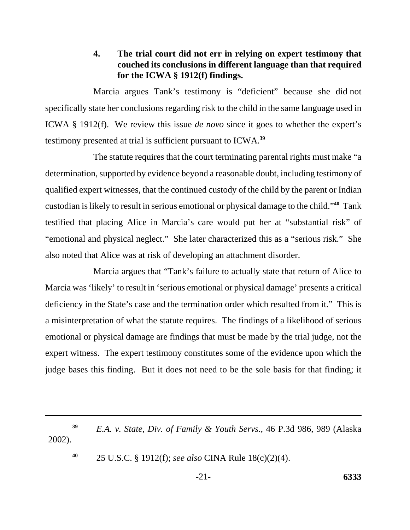## **4. The trial court did not err in relying on expert testimony that couched its conclusions in different language than that required for the ICWA § 1912(f) findings.**

Marcia argues Tank's testimony is "deficient" because she did not specifically state her conclusions regarding risk to the child in the same language used in ICWA § 1912(f). We review this issue *de novo* since it goes to whether the expert's testimony presented at trial is sufficient pursuant to ICWA.**<sup>39</sup>**

The statute requires that the court terminating parental rights must make "a determination, supported by evidence beyond a reasonable doubt, including testimony of qualified expert witnesses, that the continued custody of the child by the parent or Indian custodian is likely to result in serious emotional or physical damage to the child."**<sup>40</sup>** Tank testified that placing Alice in Marcia's care would put her at "substantial risk" of "emotional and physical neglect." She later characterized this as a "serious risk." She also noted that Alice was at risk of developing an attachment disorder.

Marcia argues that "Tank's failure to actually state that return of Alice to Marcia was 'likely' to result in 'serious emotional or physical damage' presents a critical deficiency in the State's case and the termination order which resulted from it." This is a misinterpretation of what the statute requires. The findings of a likelihood of serious emotional or physical damage are findings that must be made by the trial judge, not the expert witness. The expert testimony constitutes some of the evidence upon which the judge bases this finding. But it does not need to be the sole basis for that finding; it

**<sup>39</sup>** *E.A. v. State, Div. of Family & Youth Servs.*, 46 P.3d 986, 989 (Alaska 2002).

**<sup>40</sup>** 25 U.S.C. § 1912(f); *see also* CINA Rule 18(c)(2)(4).